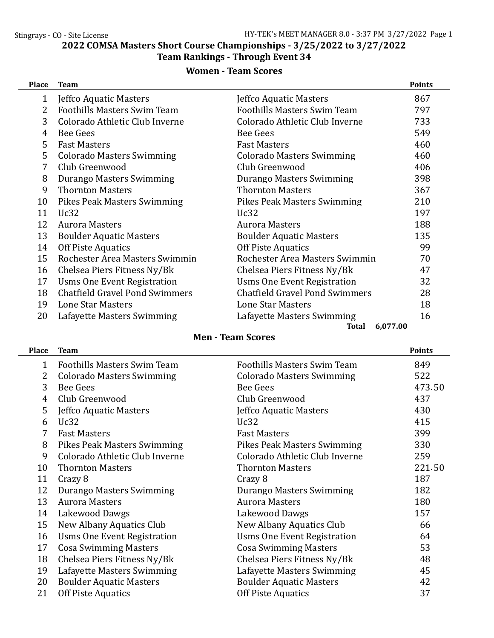2022 COMSA Masters Short Course Championships - 3/25/2022 to 3/27/2022

# Team Rankings - Through Event 34

# Women - Team Scores

| <b>Place</b> | <b>Team</b>                           |                                       | <b>Points</b> |
|--------------|---------------------------------------|---------------------------------------|---------------|
| $\mathbf{1}$ | Jeffco Aquatic Masters                | Jeffco Aquatic Masters                | 867           |
| 2            | <b>Foothills Masters Swim Team</b>    | <b>Foothills Masters Swim Team</b>    | 797           |
| 3            | Colorado Athletic Club Inverne        | Colorado Athletic Club Inverne        | 733           |
| 4            | Bee Gees                              | <b>Bee Gees</b>                       | 549           |
| 5            | <b>Fast Masters</b>                   | <b>Fast Masters</b>                   | 460           |
| 5            | <b>Colorado Masters Swimming</b>      | <b>Colorado Masters Swimming</b>      | 460           |
| 7            | Club Greenwood                        | Club Greenwood                        | 406           |
| 8            | Durango Masters Swimming              | Durango Masters Swimming              | 398           |
| 9            | <b>Thornton Masters</b>               | <b>Thornton Masters</b>               | 367           |
| 10           | <b>Pikes Peak Masters Swimming</b>    | Pikes Peak Masters Swimming           | 210           |
| 11           | Uc32                                  | Uc32                                  | 197           |
| 12           | <b>Aurora Masters</b>                 | <b>Aurora Masters</b>                 | 188           |
| 13           | <b>Boulder Aquatic Masters</b>        | <b>Boulder Aquatic Masters</b>        | 135           |
| 14           | Off Piste Aquatics                    | <b>Off Piste Aquatics</b>             | 99            |
| 15           | Rochester Area Masters Swimmin        | Rochester Area Masters Swimmin        | 70            |
| 16           | Chelsea Piers Fitness Ny/Bk           | Chelsea Piers Fitness Ny/Bk           | 47            |
| 17           | Usms One Event Registration           | Usms One Event Registration           | 32            |
| 18           | <b>Chatfield Gravel Pond Swimmers</b> | <b>Chatfield Gravel Pond Swimmers</b> | 28            |
| 19           | Lone Star Masters                     | Lone Star Masters                     | 18            |
| 20           | Lafayette Masters Swimming            | Lafayette Masters Swimming            | 16            |
|              |                                       | 6,077.00<br>Total                     |               |

## Men - Team Scores

| Place | <b>Team</b>                        |                                    | <b>Points</b> |
|-------|------------------------------------|------------------------------------|---------------|
| 1     | <b>Foothills Masters Swim Team</b> | <b>Foothills Masters Swim Team</b> | 849           |
| 2     | <b>Colorado Masters Swimming</b>   | <b>Colorado Masters Swimming</b>   | 522           |
| 3     | <b>Bee Gees</b>                    | <b>Bee Gees</b>                    | 473.50        |
| 4     | Club Greenwood                     | Club Greenwood                     | 437           |
| 5     | Jeffco Aquatic Masters             | Jeffco Aquatic Masters             | 430           |
| 6     | Uc32                               | Uc32                               | 415           |
| 7     | <b>Fast Masters</b>                | <b>Fast Masters</b>                | 399           |
| 8     | Pikes Peak Masters Swimming        | Pikes Peak Masters Swimming        | 330           |
| 9     | Colorado Athletic Club Inverne     | Colorado Athletic Club Inverne     | 259           |
| 10    | <b>Thornton Masters</b>            | <b>Thornton Masters</b>            | 221.50        |
| 11    | Crazy 8                            | Crazy 8                            | 187           |
| 12    | Durango Masters Swimming           | Durango Masters Swimming           | 182           |
| 13    | <b>Aurora Masters</b>              | <b>Aurora Masters</b>              | 180           |
| 14    | Lakewood Dawgs                     | Lakewood Dawgs                     | 157           |
| 15    | New Albany Aquatics Club           | New Albany Aquatics Club           | 66            |
| 16    | <b>Usms One Event Registration</b> | Usms One Event Registration        | 64            |
| 17    | <b>Cosa Swimming Masters</b>       | <b>Cosa Swimming Masters</b>       | 53            |
| 18    | Chelsea Piers Fitness Ny/Bk        | Chelsea Piers Fitness Ny/Bk        | 48            |
| 19    | Lafayette Masters Swimming         | Lafayette Masters Swimming         | 45            |
| 20    | <b>Boulder Aquatic Masters</b>     | <b>Boulder Aquatic Masters</b>     | 42            |
| 21    | <b>Off Piste Aquatics</b>          | <b>Off Piste Aquatics</b>          | 37            |
|       |                                    |                                    |               |